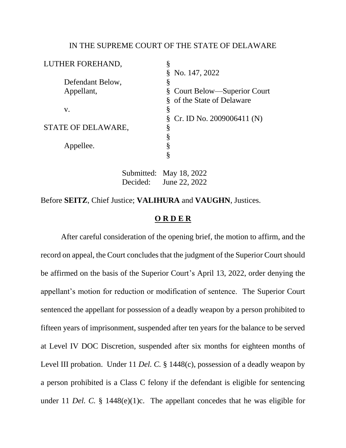## IN THE SUPREME COURT OF THE STATE OF DELAWARE

| LUTHER FOREHAND,   | §                                |
|--------------------|----------------------------------|
|                    | $\text{\& No. } 147, 2022$       |
| Defendant Below,   | §                                |
| Appellant,         | § Court Below—Superior Court     |
|                    | § of the State of Delaware       |
| V.                 | §                                |
|                    | §<br>Cr. ID No. $2009006411$ (N) |
| STATE OF DELAWARE, | §                                |
|                    | ş                                |
| Appellee.          |                                  |
|                    |                                  |
|                    |                                  |

Submitted: May 18, 2022 Decided: June 22, 2022

Before **SEITZ**, Chief Justice; **VALIHURA** and **VAUGHN**, Justices.

## **O R D E R**

After careful consideration of the opening brief, the motion to affirm, and the record on appeal, the Court concludes that the judgment of the Superior Court should be affirmed on the basis of the Superior Court's April 13, 2022, order denying the appellant's motion for reduction or modification of sentence. The Superior Court sentenced the appellant for possession of a deadly weapon by a person prohibited to fifteen years of imprisonment, suspended after ten years for the balance to be served at Level IV DOC Discretion, suspended after six months for eighteen months of Level III probation. Under 11 *Del. C.* § 1448(c), possession of a deadly weapon by a person prohibited is a Class C felony if the defendant is eligible for sentencing under 11 *Del. C.* § 1448(e)(1)c. The appellant concedes that he was eligible for